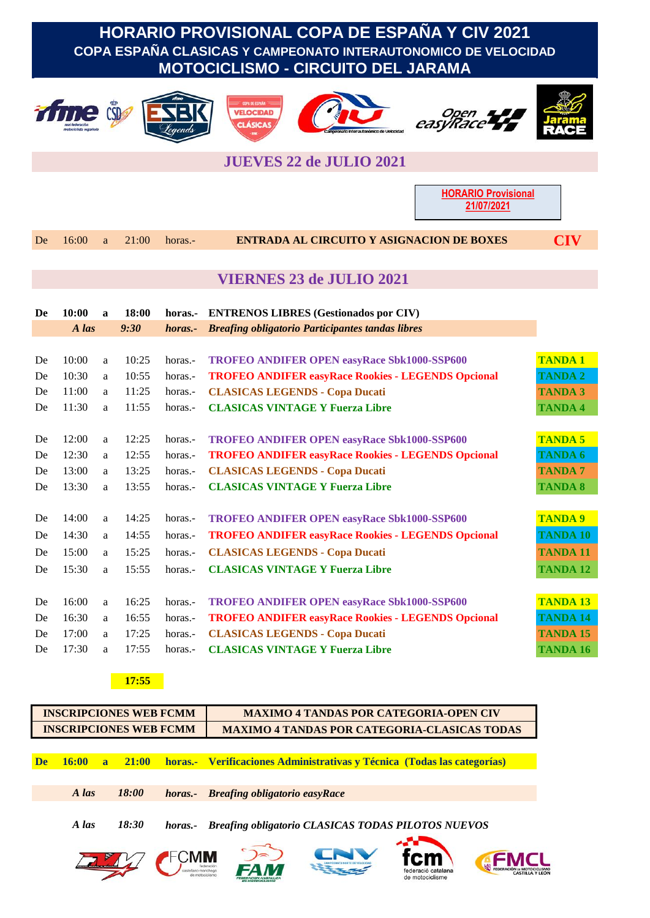# **HORARIO PROVISIONAL COPA DE ESPAÑA Y CIV 2021 COPA ESPAÑA CLASICAS Y CAMPEONATO INTERAUTONOMICO DE VELOCIDAD MOTOCICLISMO - CIRCUITO DEL JARAMA**













## **JUEVES 22 de JULIO 2021**

**HORARIO Provisional 21/07/2021**

De 16:00 a 21:00 horas.- **ENTRADA AL CIRCUITO Y ASIGNACION DE BOXES CIV**

| <b>VIERNES 23 de JULIO 2021</b> |  |  |
|---------------------------------|--|--|
|                                 |  |  |

| De | 10:00 | a | 18:00 | horas.- | <b>ENTRENOS LIBRES (Gestionados por CIV)</b>              |                 |
|----|-------|---|-------|---------|-----------------------------------------------------------|-----------------|
|    | A las |   | 9:30  | horas.- | <b>Breafing obligatorio Participantes tandas libres</b>   |                 |
|    |       |   |       |         |                                                           |                 |
| De | 10:00 | a | 10:25 | horas.- | <b>TROFEO ANDIFER OPEN easyRace Sbk1000-SSP600</b>        | <b>TANDA1</b>   |
| De | 10:30 | a | 10:55 | horas.- | <b>TROFEO ANDIFER easyRace Rookies - LEGENDS Opcional</b> | <b>TANDA 2</b>  |
| De | 11:00 | a | 11:25 | horas.- | <b>CLASICAS LEGENDS - Copa Ducati</b>                     | <b>TANDA 3</b>  |
| De | 11:30 | a | 11:55 | horas.- | <b>CLASICAS VINTAGE Y Fuerza Libre</b>                    | <b>TANDA 4</b>  |
|    |       |   |       |         |                                                           |                 |
| De | 12:00 | a | 12:25 | horas.- | <b>TROFEO ANDIFER OPEN easyRace Sbk1000-SSP600</b>        | <b>TANDA 5</b>  |
| De | 12:30 | a | 12:55 | horas.- | <b>TROFEO ANDIFER easyRace Rookies - LEGENDS Opcional</b> | TANDA 6         |
| De | 13:00 | a | 13:25 | horas.- | <b>CLASICAS LEGENDS - Copa Ducati</b>                     | <b>TANDA7</b>   |
| De | 13:30 | a | 13:55 | horas.- | <b>CLASICAS VINTAGE Y Fuerza Libre</b>                    | <b>TANDA 8</b>  |
|    |       |   |       |         |                                                           |                 |
| De | 14:00 | a | 14:25 | horas.- | <b>TROFEO ANDIFER OPEN easyRace Sbk1000-SSP600</b>        | <b>TANDA 9</b>  |
| De | 14:30 | a | 14:55 | horas.- | <b>TROFEO ANDIFER easyRace Rookies - LEGENDS Opcional</b> | <b>TANDA 10</b> |
| De | 15:00 | a | 15:25 | horas.- | <b>CLASICAS LEGENDS - Copa Ducati</b>                     | <b>TANDA 11</b> |
| De | 15:30 | a | 15:55 | horas.- | <b>CLASICAS VINTAGE Y Fuerza Libre</b>                    | <b>TANDA 12</b> |
|    |       |   |       |         |                                                           |                 |
| De | 16:00 | a | 16:25 | horas.- | <b>TROFEO ANDIFER OPEN easyRace Sbk1000-SSP600</b>        | <b>TANDA 13</b> |
| De | 16:30 | a | 16:55 | horas.- | <b>TROFEO ANDIFER easyRace Rookies - LEGENDS Opcional</b> | <b>TANDA 14</b> |
| De | 17:00 | a | 17:25 | horas.- | <b>CLASICAS LEGENDS - Copa Ducati</b>                     | <b>TANDA 15</b> |
| De | 17:30 | a | 17:55 | horas.- | <b>CLASICAS VINTAGE Y Fuerza Libre</b>                    | <b>TANDA 16</b> |

**17:55**

|           | <b>INSCRIPCIONES WEB FCMM</b> |                     |         | <b>MAXIMO 4 TANDAS POR CATEGORIA-OPEN CIV</b>                           |  |  |  |
|-----------|-------------------------------|---------------------|---------|-------------------------------------------------------------------------|--|--|--|
|           | <b>INSCRIPCIONES WEB FCMM</b> |                     |         | <b>MAXIMO 4 TANDAS POR CATEGORIA-CLASICAS TODAS</b>                     |  |  |  |
| <b>De</b> | 16:00<br>$\overline{a}$       | 21:00               |         | horas.- Verificaciones Administrativas y Técnica (Todas las categorías) |  |  |  |
|           |                               |                     |         |                                                                         |  |  |  |
|           | A las                         | <i><b>18:00</b></i> | horas.- | <b>Breafing obligatorio easyRace</b>                                    |  |  |  |
|           | A las                         | 18:30               | horas.- | <b>Breafing obligatorio CLASICAS TODAS PILOTOS NUEVOS</b>               |  |  |  |
|           |                               |                     |         | federació catalana<br>de motociclisme                                   |  |  |  |